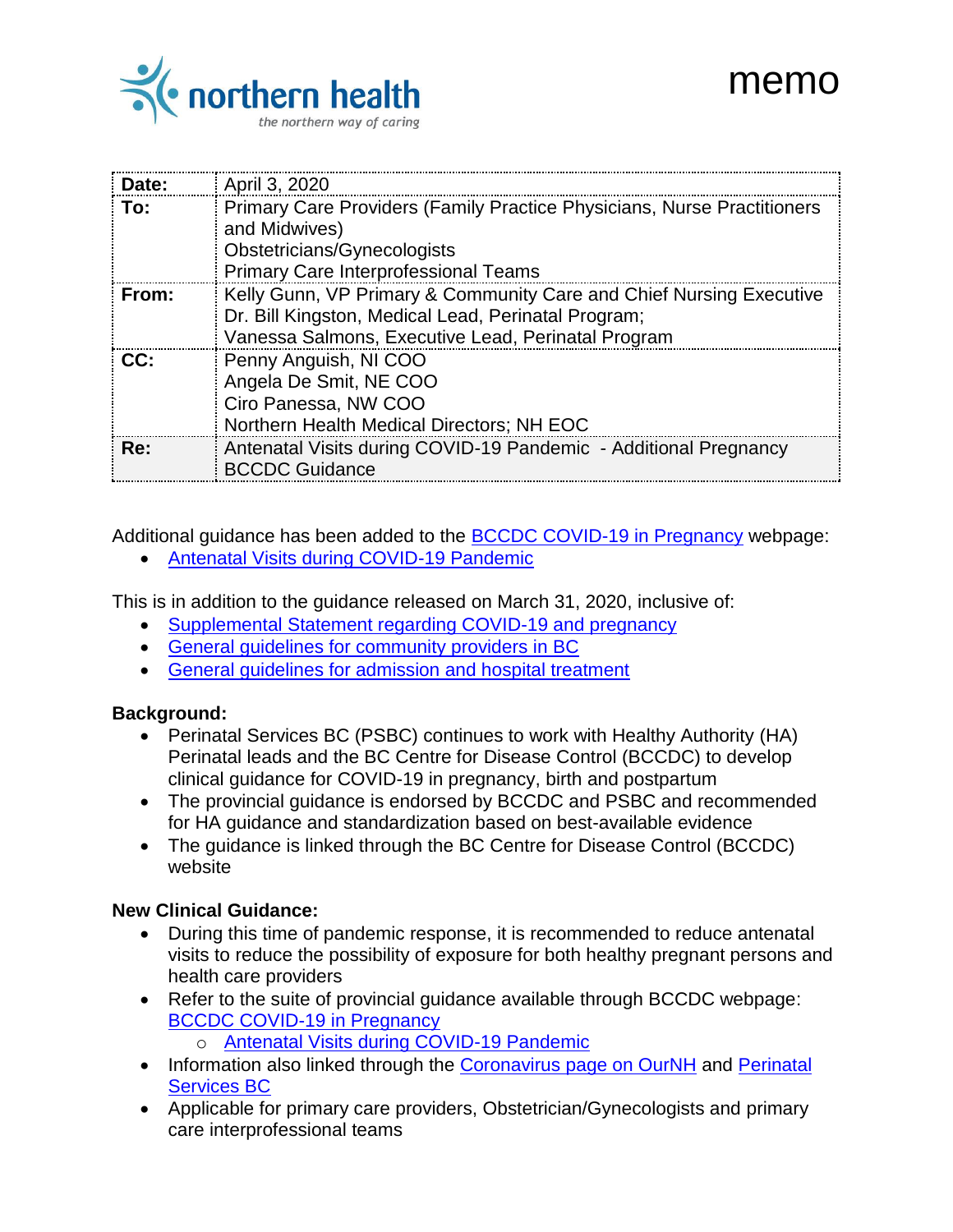

| Date: | April 3, 2020                                                                                                                                                                    |
|-------|----------------------------------------------------------------------------------------------------------------------------------------------------------------------------------|
| To:   | Primary Care Providers (Family Practice Physicians, Nurse Practitioners<br>and Midwives)<br>Obstetricians/Gynecologists<br><b>Primary Care Interprofessional Teams</b>           |
| From: | Kelly Gunn, VP Primary & Community Care and Chief Nursing Executive<br>Dr. Bill Kingston, Medical Lead, Perinatal Program;<br>Vanessa Salmons, Executive Lead, Perinatal Program |
| CC:   | Penny Anguish, NI COO<br>Angela De Smit, NE COO<br>Ciro Panessa, NW COO<br>Northern Health Medical Directors; NH EOC                                                             |
| Re:   | Antenatal Visits during COVID-19 Pandemic - Additional Pregnancy                                                                                                                 |

Additional guidance has been added to the **BCCDC COVID-19 in Pregnancy webpage:** 

[Antenatal Visits during COVID-19 Pandemic](http://www.bccdc.ca/Health-Professionals-Site/Documents/COVID19_AntenatalVisitsDuringPandemic.pdf)

BCCDC Guidance

This is in addition to the guidance released on March 31, 2020, inclusive of:

- [Supplemental Statement regarding COVID-19 and pregnancy](http://www.bccdc.ca/Health-Professionals-Site/Documents/COVID19_SuppStatementReCOVIDandPregnancy.pdf)
- [General guidelines for community providers in BC](http://www.bccdc.ca/Health-Professionals-Site/Documents/Pregnancy-COVID19-Community-Providers.pdf)
- [General guidelines for admission and hospital treatment](http://www.bccdc.ca/Health-Professionals-Site/Documents/Pregnancy-COVID19-Hospital-Admission-Treatment.pdf)

## **Background:**

- Perinatal Services BC (PSBC) continues to work with Healthy Authority (HA) Perinatal leads and the BC Centre for Disease Control (BCCDC) to develop clinical guidance for COVID-19 in pregnancy, birth and postpartum
- The provincial guidance is endorsed by BCCDC and PSBC and recommended for HA guidance and standardization based on best-available evidence
- The quidance is linked through the BC Centre for Disease Control (BCCDC) website

## **New Clinical Guidance:**

- During this time of pandemic response, it is recommended to reduce antenatal visits to reduce the possibility of exposure for both healthy pregnant persons and health care providers
- Refer to the suite of provincial guidance available through BCCDC webpage: [BCCDC COVID-19 in Pregnancy](http://www.bccdc.ca/health-professionals/clinical-resources/covid-19-care/clinical-care/pregnancy)
	- o [Antenatal Visits during COVID-19 Pandemic](http://www.bccdc.ca/Health-Professionals-Site/Documents/COVID19_AntenatalVisitsDuringPandemic.pdf)
- Information also linked through the [Coronavirus page on OurNH](https://ournh.northernhealth.ca/AboutNH/Emergency/Coronavirus/Pages/default.aspx) and Perinatal [Services BC](http://www.perinatalservicesbc.ca/)
- Applicable for primary care providers, Obstetrician/Gynecologists and primary care interprofessional teams

## memo